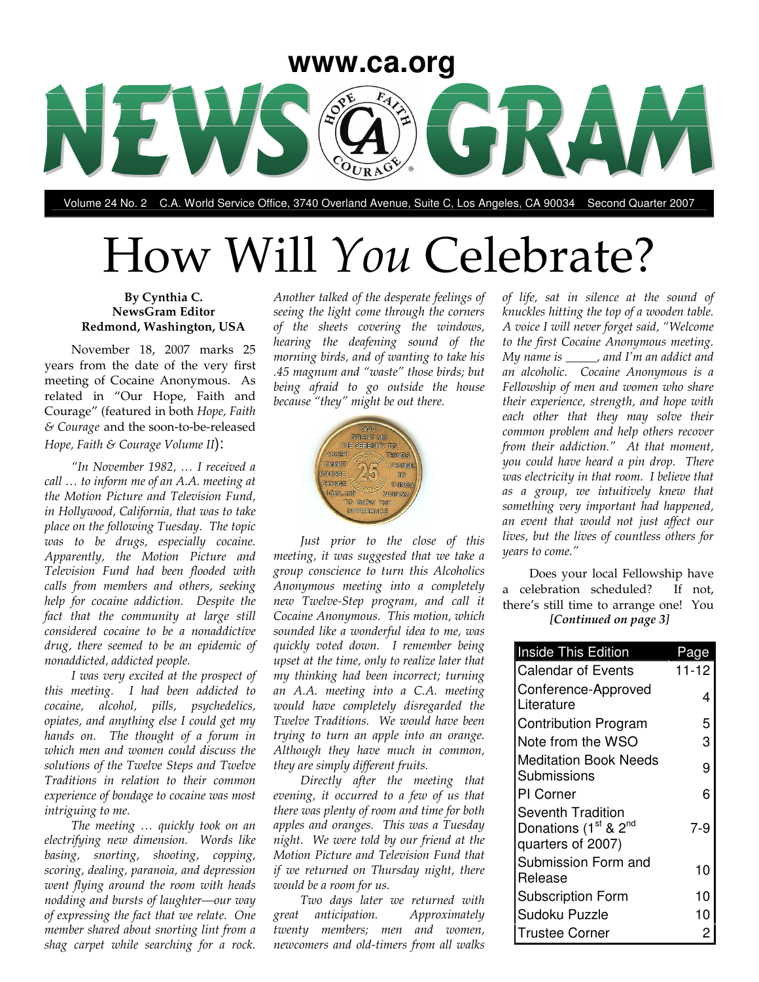

Volume 24 No. 2 C.A. World Service Office, 3740 Overland Avenue, Suite C, Los Angeles, CA 90034 Second Quarter 2007

# How Will *You* Celebrate?

#### **By Cynthia C. NewsGram Editor Redmond, Washington, USA**

November 18, 2007 marks 25 years from the date of the very first meeting of Cocaine Anonymous. As related in "Our Hope, Faith and Courage" (featured in both *Hope, Faith & Courage* and the soon-to-be-released *Hope, Faith & Courage Volume II*):

*"In November 1982, … I received a call … to inform me of an A.A. meeting at the Motion Picture and Television Fund, in Hollywood, California, that was to take place on the following Tuesday. The topic was to be drugs, especially cocaine. Apparently, the Motion Picture and Television Fund had been flooded with calls from members and others, seeking help for cocaine addiction. Despite the fact that the community at large still considered cocaine to be a nonaddictive drug, there seemed to be an epidemic of nonaddicted, addicted people.*

*I was very excited at the prospect of this meeting. I had been addicted to cocaine, alcohol, pills, psychedelics, opiates, and anything else I could get my hands on. The thought of a forum in which men and women could discuss the solutions of the Twelve Steps and Twelve Traditions in relation to their common experience of bondage to cocaine was most intriguing to me.*

*The meeting … quickly took on an electrifying new dimension. Words like basing, snorting, shooting, copping, scoring, dealing, paranoia, and depression went flying around the room with heads nodding and bursts of laughter—our way of expressing the fact that we relate. One member shared about snorting lint from a shag carpet while searching for a rock.*

*Another talked of the desperate feelings of seeing the light come through the corners of the sheets covering the windows, hearing the deafening sound of the morning birds, and of wanting to take his .45 magnum and "waste" those birds; but being afraid to go outside the house because "they" might be out there.*



*Just prior to the close of this meeting, it was suggested that we take a group conscience to turn this Alcoholics Anonymous meeting into a completely new Twelve-Step program, and call it Cocaine Anonymous. This motion, which sounded like a wonderful idea to me, was quickly voted down. I remember being upset at the time, only to realize later that my thinking had been incorrect; turning an A.A. meeting into a C.A. meeting would have completely disregarded the Twelve Traditions. We would have been trying to turn an apple into an orange. Although they have much in common, they are simply different fruits.*

*Directly after the meeting that evening, it occurred to a few of us that there was plenty of room and time for both apples and oranges. This was a Tuesday night. We were told by our friend at the Motion Picture and Television Fund that if we returned on Thursday night, there would be a room for us.*

*Two days later we returned with great anticipation. Approximately twenty members; men and women, newcomers and old-timers from all walks*

*of life, sat in silence at the sound of knuckles hitting the top of a wooden table. A voice I will never forget said, "Welcome to the first Cocaine Anonymous meeting. My name is \_\_\_\_\_, and I'm an addict and an alcoholic. Cocaine Anonymous is a Fellowship of men and women who share their experience, strength, and hope with each other that they may solve their common problem and help others recover from their addiction." At that moment, you could have heard a pin drop. There was electricity in that room. I believe that as a group, we intuitively knew that something very important had happened, an event that would not just affect our lives, but the lives of countless others for years to come."*

Does your local Fellowship have a celebration scheduled? If not, there's still time to arrange one! You *[Continued on page 3]*

| <b>Inside This Edition</b>                                                                    | age   |
|-----------------------------------------------------------------------------------------------|-------|
| <b>Calendar of Events</b>                                                                     | 11-12 |
| Conference-Approved<br>Literature                                                             | 4     |
| <b>Contribution Program</b>                                                                   | 5     |
| Note from the WSO                                                                             | 3     |
| <b>Meditation Book Needs</b><br>Submissions                                                   | 9     |
| PI Corner                                                                                     | 6     |
| <b>Seventh Tradition</b><br>Donations (1 <sup>st</sup> & 2 <sup>nd</sup><br>quarters of 2007) | 7-9   |
| Submission Form and<br>Release                                                                | 10    |
| <b>Subscription Form</b>                                                                      | 10    |
| Sudoku Puzzle                                                                                 | 10    |
| <b>Trustee Corner</b>                                                                         |       |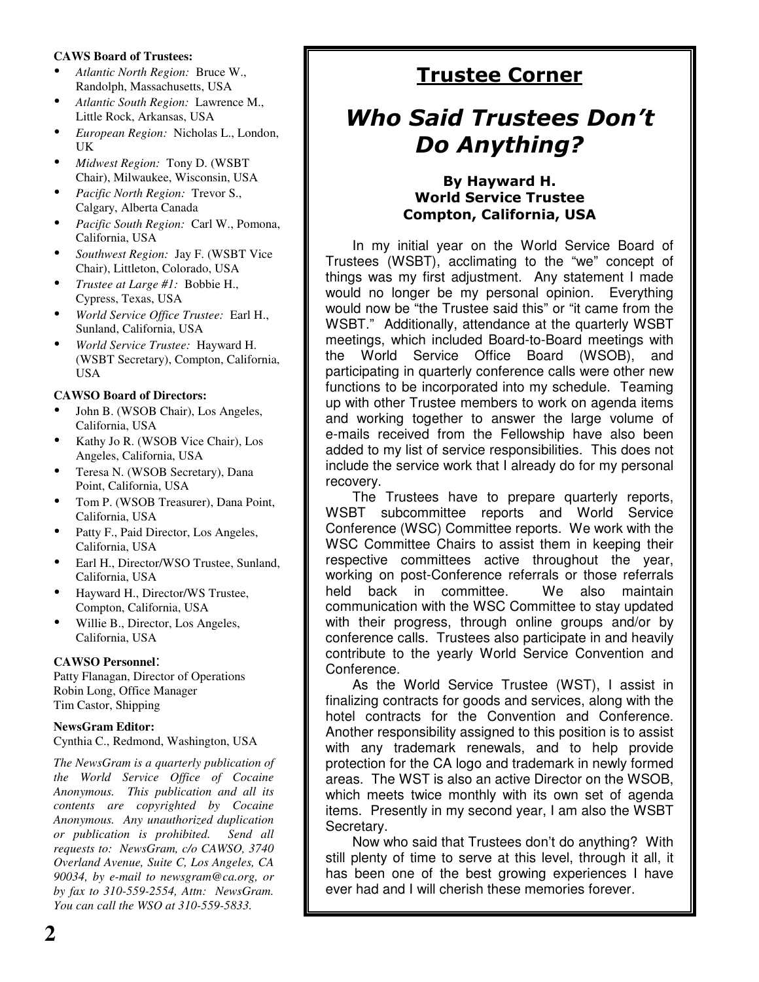#### **CAWS Board of Trustees:**

- *Atlantic North Region:* Bruce W., Randolph, Massachusetts, USA
- *Atlantic South Region:* Lawrence M., Little Rock, Arkansas, USA
- *European Region:* Nicholas L., London, UK
- *Midwest Region:* Tony D. (WSBT Chair), Milwaukee, Wisconsin, USA
- *Pacific North Region:* Trevor S., Calgary, Alberta Canada
- *Pacific South Region:* Carl W., Pomona, California, USA
- *Southwest Region:* Jay F. (WSBT Vice Chair), Littleton, Colorado, USA
- *Trustee at Large #1:* Bobbie H., Cypress, Texas, USA
- *World Service Office Trustee:* Earl H., Sunland, California, USA
- *World Service Trustee:* Hayward H. (WSBT Secretary), Compton, California, USA

#### **CAWSO Board of Directors:**

- John B. (WSOB Chair), Los Angeles, California, USA
- Kathy Jo R. (WSOB Vice Chair), Los Angeles, California, USA
- Teresa N. (WSOB Secretary), Dana Point, California, USA
- Tom P. (WSOB Treasurer), Dana Point, California, USA
- Patty F., Paid Director, Los Angeles, California, USA
- Earl H., Director/WSO Trustee, Sunland, California, USA
- Hayward H., Director/WS Trustee, Compton, California, USA
- Willie B., Director, Los Angeles, California, USA

#### **CAWSO Personnel**:

Patty Flanagan, Director of Operations Robin Long, Office Manager Tim Castor, Shipping

#### **NewsGram Editor:**

Cynthia C., Redmond, Washington, USA

*The NewsGram is a quarterly publication of the World Service Office of Cocaine Anonymous. This publication and all its contents are copyrighted by Cocaine Anonymous. Any unauthorized duplication or publication is prohibited. Send all requests to: NewsGram, c/o CAWSO, 3740 Overland Avenue, Suite C, Los Angeles, CA 90034, by e-mail to newsgram@ca.org, or by fax to 310-559-2554, Attn: NewsGram. You can call the WSO at 310-559-5833.*

### <u>Trustee Corner</u>

## **Who Said Trustees Don't** Do Anything?

#### By Hayward H. World Service Trustee Compton, California, USA

In my initial year on the World Service Board of Trustees (WSBT), acclimating to the "we" concept of things was my first adjustment. Any statement I made would no longer be my personal opinion. Everything would now be "the Trustee said this" or "it came from the WSBT." Additionally, attendance at the quarterly WSBT meetings, which included Board-to-Board meetings with the World Service Office Board (WSOB), and participating in quarterly conference calls were other new functions to be incorporated into my schedule. Teaming up with other Trustee members to work on agenda items and working together to answer the large volume of e-mails received from the Fellowship have also been added to my list of service responsibilities. This does not include the service work that I already do for my personal recovery.

The Trustees have to prepare quarterly reports, WSBT subcommittee reports and World Service Conference (WSC) Committee reports. We work with the WSC Committee Chairs to assist them in keeping their respective committees active throughout the year, working on post-Conference referrals or those referrals held back in committee. We also maintain communication with the WSC Committee to stay updated with their progress, through online groups and/or by conference calls. Trustees also participate in and heavily contribute to the yearly World Service Convention and Conference.

As the World Service Trustee (WST), I assist in finalizing contracts for goods and services, along with the hotel contracts for the Convention and Conference. Another responsibility assigned to this position is to assist with any trademark renewals, and to help provide protection for the CA logo and trademark in newly formed areas. The WST is also an active Director on the WSOB, which meets twice monthly with its own set of agenda items. Presently in my second year, I am also the WSBT Secretary.

Now who said that Trustees don't do anything? With still plenty of time to serve at this level, through it all, it has been one of the best growing experiences I have ever had and I will cherish these memories forever.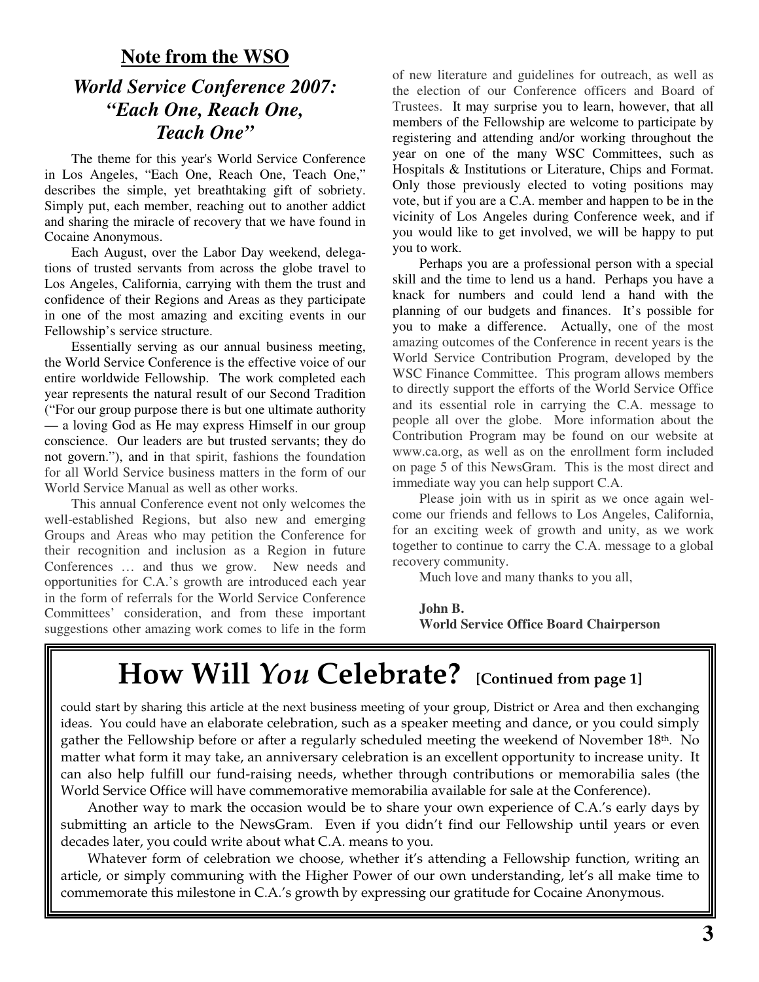### **Note from the WSO** *World Service Conference 2007: "Each One, Reach One, Teach One"*

The theme for this year's World Service Conference in Los Angeles, "Each One, Reach One, Teach One," describes the simple, yet breathtaking gift of sobriety. Simply put, each member, reaching out to another addict and sharing the miracle of recovery that we have found in Cocaine Anonymous.

Each August, over the Labor Day weekend, delegations of trusted servants from across the globe travel to Los Angeles, California, carrying with them the trust and confidence of their Regions and Areas as they participate in one of the most amazing and exciting events in our Fellowship's service structure.

Essentially serving as our annual business meeting, the World Service Conference is the effective voice of our entire worldwide Fellowship. The work completed each year represents the natural result of our Second Tradition ("For our group purpose there is but one ultimate authority — a loving God as He may express Himself in our group conscience. Our leaders are but trusted servants; they do not govern."), and in that spirit, fashions the foundation for all World Service business matters in the form of our World Service Manual as well as other works.

This annual Conference event not only welcomes the well-established Regions, but also new and emerging Groups and Areas who may petition the Conference for their recognition and inclusion as a Region in future Conferences … and thus we grow. New needs and opportunities for C.A.'s growth are introduced each year in the form of referrals for the World Service Conference Committees' consideration, and from these important suggestions other amazing work comes to life in the form of new literature and guidelines for outreach, as well as the election of our Conference officers and Board of Trustees. It may surprise you to learn, however, that all members of the Fellowship are welcome to participate by registering and attending and/or working throughout the year on one of the many WSC Committees, such as Hospitals & Institutions or Literature, Chips and Format. Only those previously elected to voting positions may vote, but if you are a C.A. member and happen to be in the vicinity of Los Angeles during Conference week, and if you would like to get involved, we will be happy to put you to work.

Perhaps you are a professional person with a special skill and the time to lend us a hand. Perhaps you have a knack for numbers and could lend a hand with the planning of our budgets and finances. It's possible for you to make a difference. Actually, one of the most amazing outcomes of the Conference in recent years is the World Service Contribution Program, developed by the WSC Finance Committee. This program allows members to directly support the efforts of the World Service Office and its essential role in carrying the C.A. message to people all over the globe. More information about the Contribution Program may be found on our website at www.ca.org, as well as on the enrollment form included on page 5 of this NewsGram. This is the most direct and immediate way you can help support C.A.

Please join with us in spirit as we once again welcome our friends and fellows to Los Angeles, California, for an exciting week of growth and unity, as we work together to continue to carry the C.A. message to a global recovery community.

Much love and many thanks to you all,

**John B. World Service Office Board Chairperson**

## **How Will** *You* **Celebrate? [Continued from page 1]**

could start by sharing this article at the next business meeting of your group, District or Area and then exchanging ideas. You could have an elaborate celebration, such as a speaker meeting and dance, or you could simply gather the Fellowship before or after a regularly scheduled meeting the weekend of November 18th. No matter what form it may take, an anniversary celebration is an excellent opportunity to increase unity. It can also help fulfill our fund-raising needs, whether through contributions or memorabilia sales (the World Service Office will have commemorative memorabilia available for sale at the Conference).

Another way to mark the occasion would be to share your own experience of C.A.'s early days by submitting an article to the NewsGram. Even if you didn't find our Fellowship until years or even decades later, you could write about what C.A. means to you.

Whatever form of celebration we choose, whether it's attending a Fellowship function, writing an article, or simply communing with the Higher Power of our own understanding, let's all make time to commemorate this milestone in C.A.'s growth by expressing our gratitude for Cocaine Anonymous.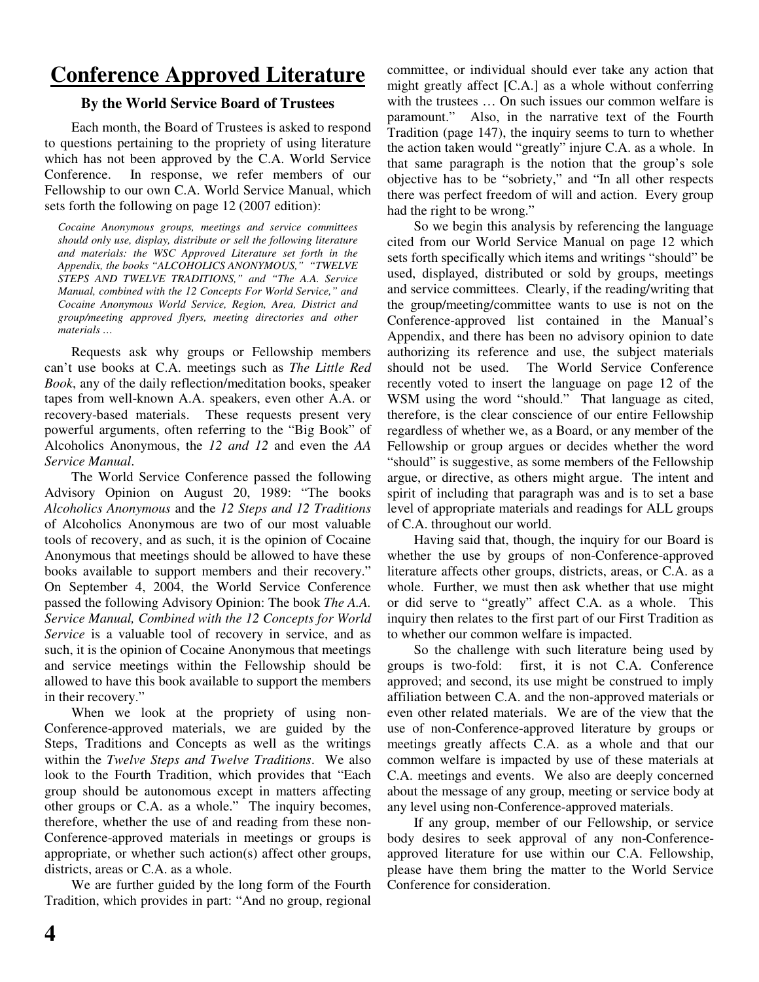## **Conference Approved Literature**

#### **By the World Service Board of Trustees**

Each month, the Board of Trustees is asked to respond to questions pertaining to the propriety of using literature which has not been approved by the C.A. World Service Conference. In response, we refer members of our Fellowship to our own C.A. World Service Manual, which sets forth the following on page 12 (2007 edition):

*Cocaine Anonymous groups, meetings and service committees should only use, display, distribute or sell the following literature and materials: the WSC Approved Literature set forth in the Appendix, the books "ALCOHOLICS ANONYMOUS," "TWELVE STEPS AND TWELVE TRADITIONS," and "The A.A. Service Manual, combined with the 12 Concepts For World Service," and Cocaine Anonymous World Service, Region, Area, District and group/meeting approved flyers, meeting directories and other materials …*

Requests ask why groups or Fellowship members can't use books at C.A. meetings such as *The Little Red Book*, any of the daily reflection/meditation books, speaker tapes from well-known A.A. speakers, even other A.A. or recovery-based materials. These requests present very powerful arguments, often referring to the "Big Book" of Alcoholics Anonymous, the *12 and 12* and even the *AA Service Manual*.

The World Service Conference passed the following Advisory Opinion on August 20, 1989: "The books *Alcoholics Anonymous* and the *12 Steps and 12 Traditions* of Alcoholics Anonymous are two of our most valuable tools of recovery, and as such, it is the opinion of Cocaine Anonymous that meetings should be allowed to have these books available to support members and their recovery." On September 4, 2004, the World Service Conference passed the following Advisory Opinion: The book *The A.A. Service Manual, Combined with the 12 Concepts for World Service* is a valuable tool of recovery in service, and as such, it is the opinion of Cocaine Anonymous that meetings and service meetings within the Fellowship should be allowed to have this book available to support the members in their recovery."

When we look at the propriety of using non-Conference-approved materials, we are guided by the Steps, Traditions and Concepts as well as the writings within the *Twelve Steps and Twelve Traditions*. We also look to the Fourth Tradition, which provides that "Each group should be autonomous except in matters affecting other groups or C.A. as a whole." The inquiry becomes, therefore, whether the use of and reading from these non-Conference-approved materials in meetings or groups is appropriate, or whether such action(s) affect other groups, districts, areas or C.A. as a whole.

We are further guided by the long form of the Fourth Tradition, which provides in part: "And no group, regional

committee, or individual should ever take any action that might greatly affect [C.A.] as a whole without conferring with the trustees ... On such issues our common welfare is paramount." Also, in the narrative text of the Fourth Tradition (page 147), the inquiry seems to turn to whether the action taken would "greatly" injure C.A. as a whole. In that same paragraph is the notion that the group's sole objective has to be "sobriety," and "In all other respects there was perfect freedom of will and action. Every group had the right to be wrong."

So we begin this analysis by referencing the language cited from our World Service Manual on page 12 which sets forth specifically which items and writings "should" be used, displayed, distributed or sold by groups, meetings and service committees. Clearly, if the reading/writing that the group/meeting/committee wants to use is not on the Conference-approved list contained in the Manual's Appendix, and there has been no advisory opinion to date authorizing its reference and use, the subject materials should not be used. The World Service Conference recently voted to insert the language on page 12 of the WSM using the word "should." That language as cited, therefore, is the clear conscience of our entire Fellowship regardless of whether we, as a Board, or any member of the Fellowship or group argues or decides whether the word "should" is suggestive, as some members of the Fellowship argue, or directive, as others might argue. The intent and spirit of including that paragraph was and is to set a base level of appropriate materials and readings for ALL groups of C.A. throughout our world.

Having said that, though, the inquiry for our Board is whether the use by groups of non-Conference-approved literature affects other groups, districts, areas, or C.A. as a whole. Further, we must then ask whether that use might or did serve to "greatly" affect C.A. as a whole. This inquiry then relates to the first part of our First Tradition as to whether our common welfare is impacted.

So the challenge with such literature being used by groups is two-fold: first, it is not C.A. Conference approved; and second, its use might be construed to imply affiliation between C.A. and the non-approved materials or even other related materials. We are of the view that the use of non-Conference-approved literature by groups or meetings greatly affects C.A. as a whole and that our common welfare is impacted by use of these materials at C.A. meetings and events. We also are deeply concerned about the message of any group, meeting or service body at any level using non-Conference-approved materials.

If any group, member of our Fellowship, or service body desires to seek approval of any non-Conferenceapproved literature for use within our C.A. Fellowship, please have them bring the matter to the World Service Conference for consideration.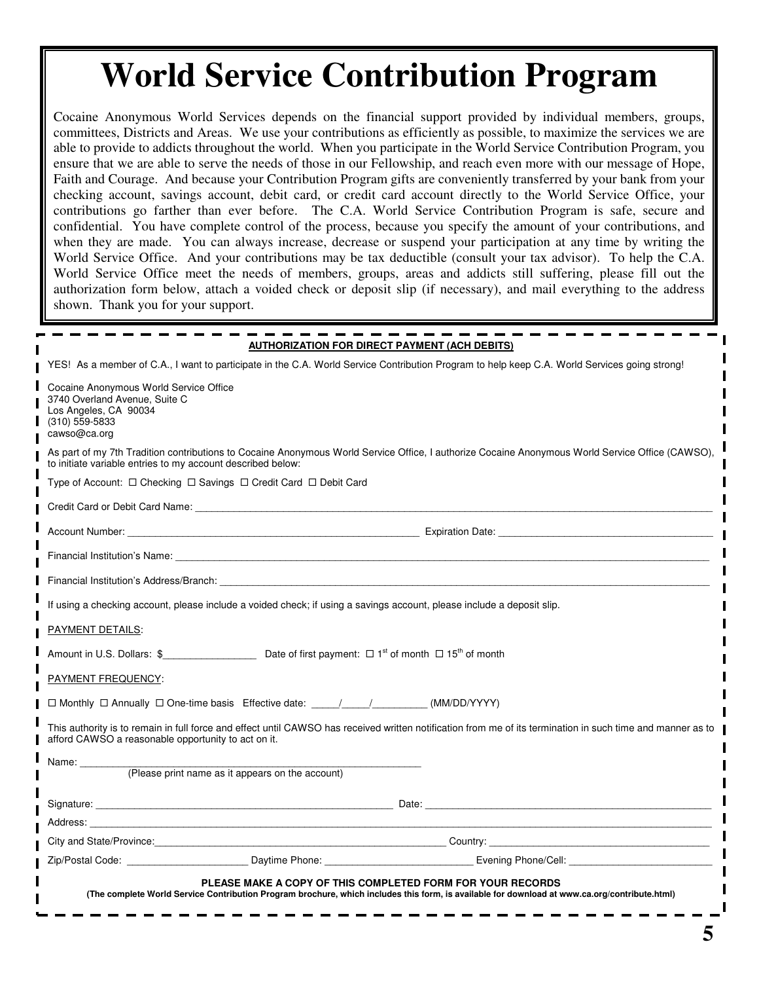## **World Service Contribution Program**

Cocaine Anonymous World Services depends on the financial support provided by individual members, groups, committees, Districts and Areas. We use your contributions as efficiently as possible, to maximize the services we are able to provide to addicts throughout the world. When you participate in the World Service Contribution Program, you ensure that we are able to serve the needs of those in our Fellowship, and reach even more with our message of Hope, Faith and Courage. And because your Contribution Program gifts are conveniently transferred by your bank from your checking account, savings account, debit card, or credit card account directly to the World Service Office, your contributions go farther than ever before. The C.A. World Service Contribution Program is safe, secure and confidential. You have complete control of the process, because you specify the amount of your contributions, and when they are made. You can always increase, decrease or suspend your participation at any time by writing the World Service Office. And your contributions may be tax deductible (consult your tax advisor). To help the C.A. World Service Office meet the needs of members, groups, areas and addicts still suffering, please fill out the authorization form below, attach a voided check or deposit slip (if necessary), and mail everything to the address shown. Thank you for your support.

|                                                                                                                                                                                                                                |                                                  | <b>AUTHORIZATION FOR DIRECT PAYMENT (ACH DEBITS)</b>                                                                                                                                                        |
|--------------------------------------------------------------------------------------------------------------------------------------------------------------------------------------------------------------------------------|--------------------------------------------------|-------------------------------------------------------------------------------------------------------------------------------------------------------------------------------------------------------------|
|                                                                                                                                                                                                                                |                                                  | YES! As a member of C.A., I want to participate in the C.A. World Service Contribution Program to help keep C.A. World Services going strong!                                                               |
| Cocaine Anonymous World Service Office<br>3740 Overland Avenue, Suite C<br>Los Angeles, CA 90034<br>$(310)$ 559-5833<br>cawso@ca.org                                                                                           |                                                  |                                                                                                                                                                                                             |
| to initiate variable entries to my account described below:                                                                                                                                                                    |                                                  | As part of my 7th Tradition contributions to Cocaine Anonymous World Service Office, I authorize Cocaine Anonymous World Service Office (CAWSO),                                                            |
| Type of Account: $\Box$ Checking $\Box$ Savings $\Box$ Credit Card $\Box$ Debit Card                                                                                                                                           |                                                  |                                                                                                                                                                                                             |
| Credit Card or Debit Card Name: We have a state of the control of the control of the control of the control of the control of the control of the control of the control of the control of the control of the control of the co |                                                  |                                                                                                                                                                                                             |
|                                                                                                                                                                                                                                |                                                  |                                                                                                                                                                                                             |
| Financial Institution's Name: The contract of the contract of the contract of the contract of the contract of the contract of the contract of the contract of the contract of the contract of the contract of the contract of  |                                                  |                                                                                                                                                                                                             |
| Financial Institution's Address/Branch: The Contract of the Contract of the Contract of the Contract of the Contract of the Contract of the Contract of the Contract of the Contract of the Contract of the Contract of the Co |                                                  |                                                                                                                                                                                                             |
|                                                                                                                                                                                                                                |                                                  | If using a checking account, please include a voided check; if using a savings account, please include a deposit slip.                                                                                      |
| PAYMENT DETAILS:                                                                                                                                                                                                               |                                                  |                                                                                                                                                                                                             |
| Amount in U.S. Dollars: $\frac{1}{2}$ expression of the Date of first payment: $\Box$ 1 <sup>st</sup> of month $\Box$ 15 <sup>th</sup> of month                                                                                |                                                  |                                                                                                                                                                                                             |
| PAYMENT FREQUENCY:                                                                                                                                                                                                             |                                                  |                                                                                                                                                                                                             |
| □ Monthly □ Annually □ One-time basis Effective date: ____/____/___________ (MM/DD/YYYY)                                                                                                                                       |                                                  |                                                                                                                                                                                                             |
| afford CAWSO a reasonable opportunity to act on it.                                                                                                                                                                            |                                                  | This authority is to remain in full force and effect until CAWSO has received written notification from me of its termination in such time and manner as to                                                 |
| Name: ________                                                                                                                                                                                                                 |                                                  |                                                                                                                                                                                                             |
|                                                                                                                                                                                                                                | (Please print name as it appears on the account) |                                                                                                                                                                                                             |
|                                                                                                                                                                                                                                |                                                  |                                                                                                                                                                                                             |
| Address: the contract of the contract of the contract of the contract of the contract of the contract of the contract of the contract of the contract of the contract of the contract of the contract of the contract of the c |                                                  |                                                                                                                                                                                                             |
|                                                                                                                                                                                                                                |                                                  |                                                                                                                                                                                                             |
|                                                                                                                                                                                                                                |                                                  | Zip/Postal Code: Communication of Contract Contract Daytime Phone: Communication Communication Contract Daytime Phone:                                                                                      |
|                                                                                                                                                                                                                                |                                                  | PLEASE MAKE A COPY OF THIS COMPLETED FORM FOR YOUR RECORDS<br>(The complete World Service Contribution Program brochure, which includes this form, is available for download at www.ca.org/contribute.html) |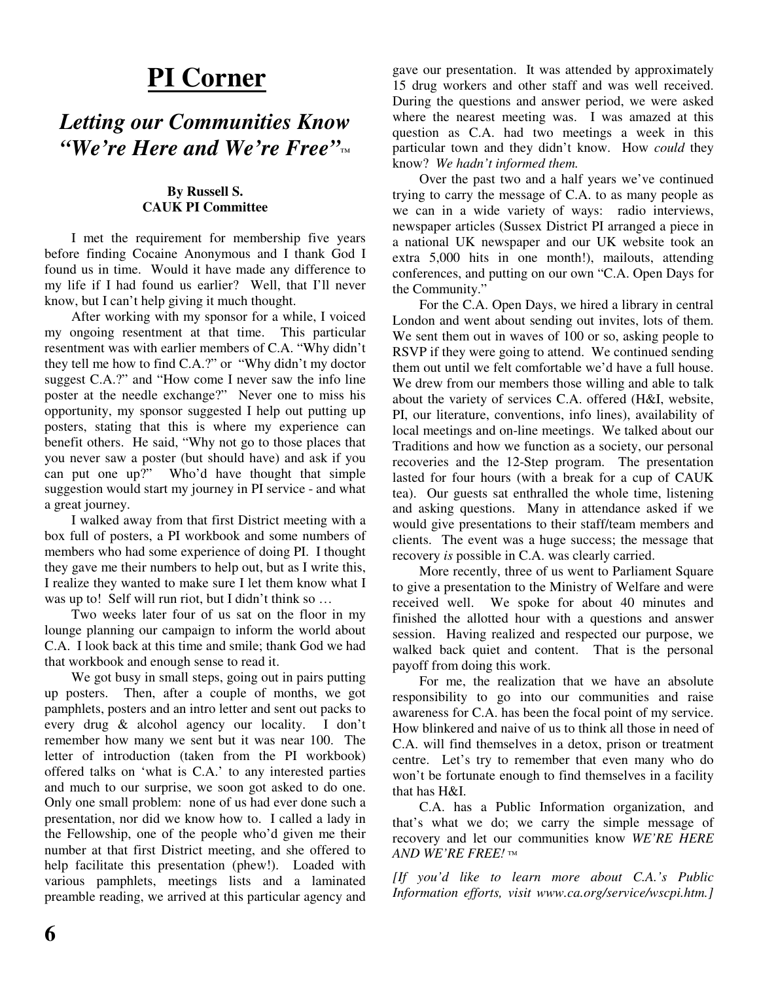## **PI Corner**

## *Letting our Communities Know "We're Here and We're Free"™*

#### **By Russell S. CAUK PI Committee**

I met the requirement for membership five years before finding Cocaine Anonymous and I thank God I found us in time. Would it have made any difference to my life if I had found us earlier? Well, that I'll never know, but I can't help giving it much thought.

After working with my sponsor for a while, I voiced my ongoing resentment at that time. This particular resentment was with earlier members of C.A. "Why didn't they tell me how to find C.A.?" or "Why didn't my doctor suggest C.A.?" and "How come I never saw the info line poster at the needle exchange?" Never one to miss his opportunity, my sponsor suggested I help out putting up posters, stating that this is where my experience can benefit others. He said, "Why not go to those places that you never saw a poster (but should have) and ask if you can put one up?" Who'd have thought that simple suggestion would start my journey in PI service - and what a great journey.

I walked away from that first District meeting with a box full of posters, a PI workbook and some numbers of members who had some experience of doing PI. I thought they gave me their numbers to help out, but as I write this, I realize they wanted to make sure I let them know what I was up to! Self will run riot, but I didn't think so ...

Two weeks later four of us sat on the floor in my lounge planning our campaign to inform the world about C.A. I look back at this time and smile; thank God we had that workbook and enough sense to read it.

We got busy in small steps, going out in pairs putting up posters. Then, after a couple of months, we got pamphlets, posters and an intro letter and sent out packs to every drug & alcohol agency our locality. I don't remember how many we sent but it was near 100. The letter of introduction (taken from the PI workbook) offered talks on 'what is C.A.' to any interested parties and much to our surprise, we soon got asked to do one. Only one small problem: none of us had ever done such a presentation, nor did we know how to. I called a lady in the Fellowship, one of the people who'd given me their number at that first District meeting, and she offered to help facilitate this presentation (phew!). Loaded with various pamphlets, meetings lists and a laminated preamble reading, we arrived at this particular agency and gave our presentation. It was attended by approximately 15 drug workers and other staff and was well received. During the questions and answer period, we were asked where the nearest meeting was. I was amazed at this question as C.A. had two meetings a week in this particular town and they didn't know. How *could* they know? *We hadn't informed them.*

Over the past two and a half years we've continued trying to carry the message of C.A. to as many people as we can in a wide variety of ways: radio interviews, newspaper articles (Sussex District PI arranged a piece in a national UK newspaper and our UK website took an extra 5,000 hits in one month!), mailouts, attending conferences, and putting on our own "C.A. Open Days for the Community."

For the C.A. Open Days, we hired a library in central London and went about sending out invites, lots of them. We sent them out in waves of 100 or so, asking people to RSVP if they were going to attend. We continued sending them out until we felt comfortable we'd have a full house. We drew from our members those willing and able to talk about the variety of services C.A. offered (H&I, website, PI, our literature, conventions, info lines), availability of local meetings and on-line meetings. We talked about our Traditions and how we function as a society, our personal recoveries and the 12-Step program. The presentation lasted for four hours (with a break for a cup of CAUK tea). Our guests sat enthralled the whole time, listening and asking questions. Many in attendance asked if we would give presentations to their staff/team members and clients. The event was a huge success; the message that recovery *is* possible in C.A. was clearly carried.

More recently, three of us went to Parliament Square to give a presentation to the Ministry of Welfare and were received well. We spoke for about 40 minutes and finished the allotted hour with a questions and answer session. Having realized and respected our purpose, we walked back quiet and content. That is the personal payoff from doing this work.

For me, the realization that we have an absolute responsibility to go into our communities and raise awareness for C.A. has been the focal point of my service. How blinkered and naive of us to think all those in need of C.A. will find themselves in a detox, prison or treatment centre. Let's try to remember that even many who do won't be fortunate enough to find themselves in a facility that has H&I.

C.A. has a Public Information organization, and that's what we do; we carry the simple message of recovery and let our communities know *WE'RE HERE AND WE'RE FREE! ™*

*[If you'd like to learn more about C.A.'s Public Information efforts, visit www.ca.org/service/wscpi.htm.]*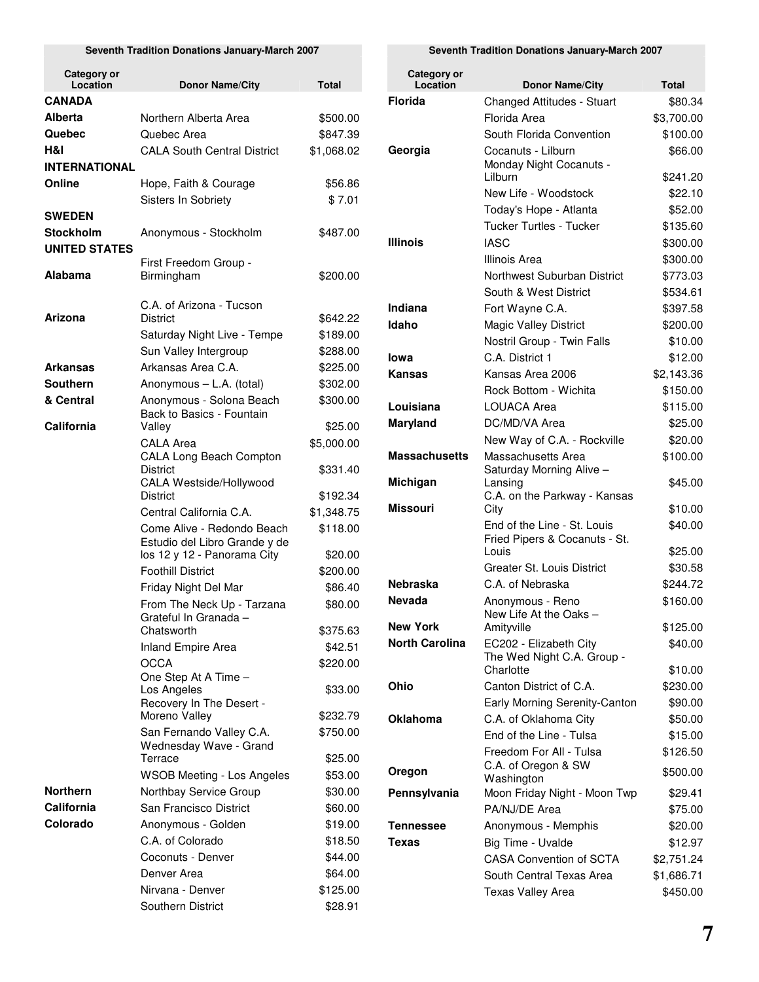#### **Seventh Tradition Donations January-March 2007**

| <b>Category or</b><br>Location | <b>Donor Name/City</b>                                       | <b>Total</b> |
|--------------------------------|--------------------------------------------------------------|--------------|
| <b>CANADA</b>                  |                                                              |              |
| Alberta                        | Northern Alberta Area                                        | \$500.00     |
| Quebec                         | Quebec Area                                                  | \$847.39     |
| H&I                            | <b>CALA South Central District</b>                           | \$1,068.02   |
| <b>INTERNATIONAL</b>           |                                                              |              |
| Online                         | Hope, Faith & Courage                                        | \$56.86      |
|                                | <b>Sisters In Sobriety</b>                                   | \$7.01       |
| <b>SWEDEN</b>                  |                                                              |              |
| Stockholm                      | Anonymous - Stockholm                                        | \$487.00     |
| <b>UNITED STATES</b>           |                                                              |              |
|                                | First Freedom Group -                                        |              |
| Alabama                        | Birmingham                                                   | \$200.00     |
|                                | C.A. of Arizona - Tucson                                     |              |
| Arizona                        | <b>District</b>                                              | \$642.22     |
|                                | Saturday Night Live - Tempe                                  | \$189.00     |
|                                | Sun Valley Intergroup                                        | \$288.00     |
| <b>Arkansas</b>                | Arkansas Area C.A.                                           | \$225.00     |
| <b>Southern</b>                | Anonymous - L.A. (total)                                     | \$302.00     |
| & Central                      | Anonymous - Solona Beach                                     | \$300.00     |
|                                | Back to Basics - Fountain                                    |              |
| California                     | Valley                                                       | \$25.00      |
|                                | <b>CALA Area</b>                                             | \$5,000.00   |
|                                | CALA Long Beach Compton<br>District                          | \$331.40     |
|                                | CALA Westside/Hollywood                                      |              |
|                                | <b>District</b>                                              | \$192.34     |
|                                | Central California C.A.                                      | \$1,348.75   |
|                                | Come Alive - Redondo Beach                                   | \$118.00     |
|                                | Estudio del Libro Grande y de<br>los 12 y 12 - Panorama City | \$20.00      |
|                                | <b>Foothill District</b>                                     | \$200.00     |
|                                | Friday Night Del Mar                                         | \$86.40      |
|                                | From The Neck Up - Tarzana                                   | \$80.00      |
|                                | Grateful In Granada -                                        |              |
|                                | Chatsworth                                                   | \$375.63     |
|                                | <b>Inland Empire Area</b>                                    | \$42.51      |
|                                | <b>OCCA</b>                                                  | \$220.00     |
|                                | One Step At A Time -                                         |              |
|                                | Los Angeles<br>Recovery In The Desert -                      | \$33.00      |
|                                | Moreno Valley                                                | \$232.79     |
|                                | San Fernando Valley C.A.                                     | \$750.00     |
|                                | Wednesday Wave - Grand                                       |              |
|                                | Terrace                                                      | \$25.00      |
|                                | <b>WSOB Meeting - Los Angeles</b>                            | \$53.00      |
| <b>Northern</b>                | Northbay Service Group                                       | \$30.00      |
| California                     | San Francisco District                                       | \$60.00      |
| Colorado                       | Anonymous - Golden                                           | \$19.00      |
|                                | C.A. of Colorado                                             | \$18.50      |
|                                | Coconuts - Denver                                            | \$44.00      |
|                                | Denver Area                                                  | \$64.00      |
|                                | Nirvana - Denver                                             | \$125.00     |
|                                | Southern District                                            | \$28.91      |

| Seventh Tradition Donations January-March 2007 |  |  |  |
|------------------------------------------------|--|--|--|
|------------------------------------------------|--|--|--|

| Location<br><b>Donor Name/City</b>                       | Total      |
|----------------------------------------------------------|------------|
| <b>Florida</b><br><b>Changed Attitudes - Stuart</b>      | \$80.34    |
| Florida Area                                             |            |
|                                                          | \$3,700.00 |
| South Florida Convention                                 | \$100.00   |
| Georgia<br>Cocanuts - Lilburn<br>Monday Night Cocanuts - | \$66.00    |
| Lilburn                                                  | \$241.20   |
| New Life - Woodstock                                     | \$22.10    |
| Today's Hope - Atlanta                                   | \$52.00    |
| <b>Tucker Turtles - Tucker</b>                           | \$135.60   |
| Illinois<br>IASC                                         | \$300.00   |
| Illinois Area                                            | \$300.00   |
| Northwest Suburban District                              | \$773.03   |
| South & West District                                    | \$534.61   |
| Indiana<br>Fort Wayne C.A.                               | \$397.58   |
| Idaho<br>Magic Valley District                           | \$200.00   |
| Nostril Group - Twin Falls                               | \$10.00    |
| lowa<br>C.A. District 1                                  | \$12.00    |
| Kansas<br>Kansas Area 2006                               | \$2,143.36 |
| Rock Bottom - Wichita                                    | \$150.00   |
| <b>LOUACA Area</b><br>Louisiana                          | \$115.00   |
| <b>Maryland</b><br>DC/MD/VA Area                         | \$25.00    |
| New Way of C.A. - Rockville                              | \$20.00    |
| <b>Massachusetts</b><br>Massachusetts Area               | \$100.00   |
| Saturday Morning Alive -                                 |            |
| Michigan<br>Lansing                                      | \$45.00    |
| C.A. on the Parkway - Kansas<br>Missouri<br>City         | \$10.00    |
| End of the Line - St. Louis                              | \$40.00    |
| Fried Pipers & Cocanuts - St.                            |            |
| Louis                                                    | \$25.00    |
| Greater St. Louis District                               | \$30.58    |
| Nebraska<br>C.A. of Nebraska                             | \$244.72   |
| <b>Nevada</b><br>Anonymous - Reno                        | \$160.00   |
| New Life At the Oaks -<br>New York<br>Amityville         | \$125.00   |
| <b>North Carolina</b><br>EC202 - Elizabeth City          | \$40.00    |
| The Wed Night C.A. Group -                               |            |
| Charlotte                                                | \$10.00    |
| Ohio<br>Canton District of C.A.                          | \$230.00   |
| Early Morning Serenity-Canton                            | \$90.00    |
| Oklahoma<br>C.A. of Oklahoma City                        | \$50.00    |
| End of the Line - Tulsa                                  | \$15.00    |
| Freedom For All - Tulsa                                  | \$126.50   |
| C.A. of Oregon & SW<br>Oregon<br>Washington              | \$500.00   |
| Pennsylvania<br>Moon Friday Night - Moon Twp             | \$29.41    |
| PA/NJ/DE Area                                            | \$75.00    |
| Tennessee<br>Anonymous - Memphis                         | \$20.00    |
| Texas<br>Big Time - Uvalde                               | \$12.97    |
|                                                          | \$2,751.24 |
|                                                          |            |
| CASA Convention of SCTA<br>South Central Texas Area      | \$1,686.71 |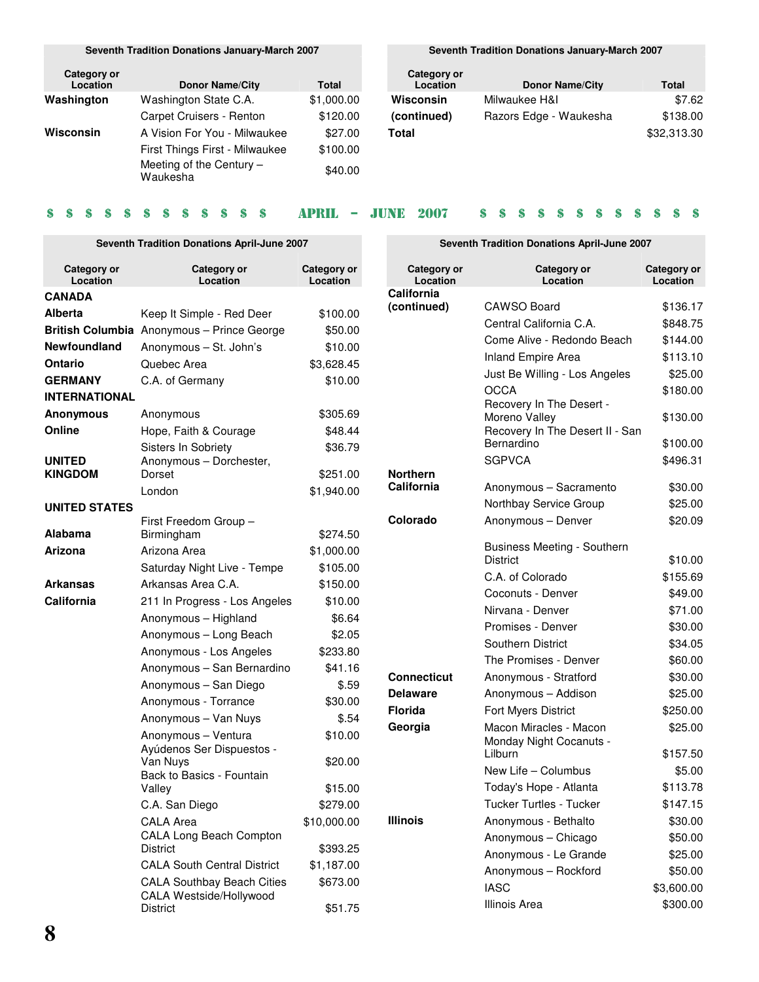**Seventh Tradition Donations January-March 2007**

| Category or<br>Location | <b>Donor Name/City</b>                 | Total      |
|-------------------------|----------------------------------------|------------|
| Washington              | Washington State C.A.                  | \$1,000.00 |
|                         | Carpet Cruisers - Renton               | \$120.00   |
| Wisconsin               | A Vision For You - Milwaukee           | \$27.00    |
|                         | First Things First - Milwaukee         | \$100.00   |
|                         | Meeting of the Century $-$<br>Waukesha | \$40.00    |

#### **Seventh Tradition Donations January-March 2007**

| Category or<br>Location | <b>Donor Name/City</b> | Total       |
|-------------------------|------------------------|-------------|
| Wisconsin               | Milwaukee H&I          | \$7.62      |
| (continued)             | Razors Edge - Waukesha | \$138.00    |
| Total                   |                        | \$32,313.30 |

**Seventh Tradition Donations April-June 2007**

#### 

### **Seventh Tradition Donations April-June 2007**

| Category or<br>Location  | Category or<br>Location                                      | Category or<br>Location |
|--------------------------|--------------------------------------------------------------|-------------------------|
| CANADA                   |                                                              |                         |
| Alberta                  | Keep It Simple - Red Deer                                    | \$100.00                |
| <b>British Columbia</b>  | Anonymous - Prince George                                    | \$50.00                 |
| <b>Newfoundland</b>      | Anonymous - St. John's                                       | \$10.00                 |
| Ontario                  | Quebec Area                                                  | \$3,628.45              |
| <b>GERMANY</b>           | C.A. of Germany                                              | \$10.00                 |
| INTERNATIONAL            |                                                              |                         |
| <b>Anonymous</b>         | Anonymous                                                    | \$305.69                |
| Online                   | Hope, Faith & Courage                                        | \$48.44                 |
|                          | Sisters In Sobriety                                          | \$36.79                 |
| <b>UNITED</b><br>KINGDOM | Anonymous - Dorchester,<br>Dorset                            | \$251.00                |
|                          | London                                                       | \$1,940.00              |
| <b>UNITED STATES</b>     |                                                              |                         |
|                          | First Freedom Group -                                        |                         |
| Alabama                  | Birmingham                                                   | \$274.50                |
| Arizona                  | Arizona Area                                                 | \$1,000.00              |
|                          | Saturday Night Live - Tempe                                  | \$105.00                |
| Arkansas                 | Arkansas Area C.A.                                           | \$150.00                |
| California               | 211 In Progress - Los Angeles                                | \$10.00                 |
|                          | Anonymous - Highland                                         | \$6.64                  |
|                          | Anonymous - Long Beach                                       | \$2.05                  |
|                          | Anonymous - Los Angeles                                      | \$233.80                |
|                          | Anonymous - San Bernardino                                   | \$41.16                 |
|                          | Anonymous - San Diego                                        | \$.59                   |
|                          | Anonymous - Torrance                                         | \$30.00                 |
|                          | Anonymous - Van Nuys                                         | \$.54                   |
|                          | Anonymous - Ventura<br>Ayúdenos Ser Dispuestos -<br>Van Nuys | \$10.00<br>\$20.00      |
|                          | Back to Basics - Fountain                                    |                         |
|                          | Valley                                                       | \$15.00                 |
|                          | C.A. San Diego                                               | \$279.00                |
|                          | <b>CALA Area</b>                                             | \$10,000.00             |
|                          | CALA Long Beach Compton<br><b>District</b>                   | \$393.25                |
|                          | <b>CALA South Central District</b>                           | \$1,187.00              |
|                          | <b>CALA Southbay Beach Cities</b><br>CALA Westside/Hollywood | \$673.00                |
|                          | District                                                     | \$51.75                 |

| Category or<br>Location | Category or<br>Location                                                      | Category or<br>Location |
|-------------------------|------------------------------------------------------------------------------|-------------------------|
| California              |                                                                              |                         |
| (continued)             | <b>CAWSO Board</b>                                                           | \$136.17                |
|                         | Central California C.A.                                                      | \$848.75                |
|                         | Come Alive - Redondo Beach                                                   | \$144.00                |
|                         | Inland Empire Area                                                           | \$113.10                |
|                         | Just Be Willing - Los Angeles                                                | \$25.00                 |
|                         | <b>OCCA</b>                                                                  | \$180.00                |
|                         | Recovery In The Desert -<br>Moreno Valley<br>Recovery In The Desert II - San | \$130.00                |
|                         | Bernardino                                                                   | \$100.00                |
|                         | <b>SGPVCA</b>                                                                | \$496.31                |
| Northern                |                                                                              |                         |
| California              | Anonymous - Sacramento                                                       | \$30.00                 |
|                         | Northbay Service Group                                                       | \$25.00                 |
| Colorado                | Anonymous - Denver                                                           | \$20.09                 |
|                         | Business Meeting - Southern                                                  |                         |
|                         | <b>District</b>                                                              | \$10.00                 |
|                         | C.A. of Colorado                                                             | \$155.69                |
|                         | Coconuts - Denver                                                            | \$49.00                 |
|                         | Nirvana - Denver                                                             | \$71.00                 |
|                         | Promises - Denver                                                            | \$30.00                 |
|                         | <b>Southern District</b>                                                     | \$34.05                 |
|                         | The Promises - Denver                                                        | \$60.00                 |
| Connecticut             | Anonymous - Stratford                                                        | \$30.00                 |
| <b>Delaware</b>         | Anonymous - Addison                                                          | \$25.00                 |
| Florida                 | Fort Myers District                                                          | \$250.00                |
| Georgia                 | Macon Miracles - Macon<br>Monday Night Cocanuts -                            | \$25.00                 |
|                         | Lilburn                                                                      | \$157.50                |
|                         | New Life - Columbus                                                          | \$5.00                  |
|                         | Today's Hope - Atlanta                                                       | \$113.78                |
|                         | Tucker Turtles - Tucker                                                      | \$147.15                |
| Illinois                | Anonymous - Bethalto                                                         | \$30.00                 |
|                         | Anonymous - Chicago                                                          | \$50.00                 |
|                         | Anonymous - Le Grande                                                        | \$25.00                 |
|                         | Anonymous - Rockford                                                         | \$50.00                 |
|                         | <b>IASC</b>                                                                  | \$3,600.00              |

Illinois Area  $$300.00$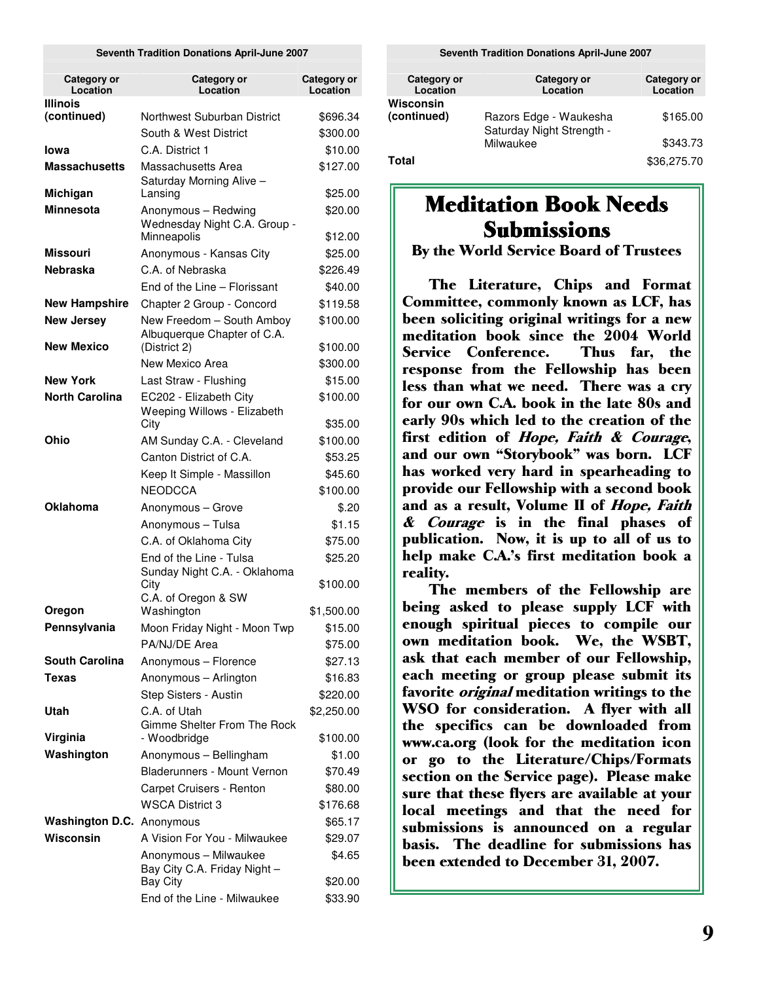#### **Seventh Tradition Donations April-June 2007**

| Category or<br>Location        | Category or<br>Location                                                  | Category or<br>Location |
|--------------------------------|--------------------------------------------------------------------------|-------------------------|
| <b>Illinois</b><br>(continued) | Northwest Suburban District                                              | \$696.34                |
|                                | South & West District                                                    | \$300.00                |
| lowa                           | C.A. District 1                                                          | \$10.00                 |
| <b>Massachusetts</b>           | Massachusetts Area<br>Saturday Morning Alive -                           | \$127.00                |
| Michigan                       | Lansing                                                                  | \$25.00                 |
| Minnesota                      | Anonymous - Redwing<br>Wednesday Night C.A. Group -                      | \$20.00                 |
| <b>Missouri</b>                | Minneapolis                                                              | \$12.00                 |
| Nebraska                       | Anonymous - Kansas City<br>C.A. of Nebraska                              | \$25.00                 |
|                                |                                                                          | \$226.49                |
|                                | End of the Line - Florissant                                             | \$40.00                 |
| <b>New Hampshire</b>           | Chapter 2 Group - Concord                                                | \$119.58                |
| <b>New Jersey</b>              | New Freedom - South Amboy<br>Albuquerque Chapter of C.A.                 | \$100.00                |
| <b>New Mexico</b>              | (District 2)                                                             | \$100.00                |
|                                | New Mexico Area                                                          | \$300.00                |
| <b>New York</b>                | Last Straw - Flushing                                                    | \$15.00                 |
| <b>North Carolina</b>          | EC202 - Elizabeth City<br>Weeping Willows - Elizabeth                    | \$100.00                |
|                                | City                                                                     | \$35.00                 |
| Ohio                           | AM Sunday C.A. - Cleveland                                               | \$100.00                |
|                                | Canton District of C.A.                                                  | \$53.25                 |
|                                | Keep It Simple - Massillon                                               | \$45.60                 |
|                                | <b>NEODCCA</b>                                                           | \$100.00                |
| <b>Oklahoma</b>                | Anonymous - Grove                                                        | \$.20                   |
|                                | Anonymous - Tulsa                                                        | \$1.15                  |
|                                | C.A. of Oklahoma City                                                    | \$75.00                 |
|                                | End of the Line - Tulsa<br>Sunday Night C.A. - Oklahoma<br>City          | \$25.20<br>\$100.00     |
| Oregon                         | C.A. of Oregon & SW<br>Washington                                        | \$1,500.00              |
| Pennsylvania                   | Moon Friday Night - Moon Twp                                             | \$15.00                 |
|                                | PA/NJ/DE Area                                                            | \$75.00                 |
| <b>South Carolina</b>          | Anonymous - Florence                                                     | \$27.13                 |
| Texas                          | Anonymous - Arlington                                                    | \$16.83                 |
|                                | Step Sisters - Austin                                                    | \$220.00                |
| Utah                           | C.A. of Utah                                                             | \$2,250.00              |
| Virginia                       | Gimme Shelter From The Rock<br>- Woodbridge                              | \$100.00                |
| Washington                     | Anonymous - Bellingham                                                   | \$1.00                  |
|                                | Bladerunners - Mount Vernon                                              | \$70.49                 |
|                                | Carpet Cruisers - Renton                                                 | \$80.00                 |
|                                | <b>WSCA District 3</b>                                                   | \$176.68                |
| Washington D.C. Anonymous      |                                                                          | \$65.17                 |
| Wisconsin                      | A Vision For You - Milwaukee                                             | \$29.07                 |
|                                |                                                                          |                         |
|                                |                                                                          |                         |
|                                | Anonymous - Milwaukee<br>Bay City C.A. Friday Night -<br><b>Bay City</b> | \$4.65<br>\$20.00       |

**Seventh Tradition Donations April-June 2007**

| Category or<br>Location  | Category or<br>Location                             | Category or<br>Location |
|--------------------------|-----------------------------------------------------|-------------------------|
| Wisconsin<br>(continued) | Razors Edge - Waukesha<br>Saturday Night Strength - | \$165.00                |
|                          | Milwaukee                                           | \$343.73                |
| Total                    |                                                     | \$36,275.70             |

## **Meditation Book Needs Submissions**

By the World Service Board of Trustees

The Literature, Chips and Format Committee, commonly known as LCF, has been soliciting original writings for a new meditation book since the 2004 World Service Conference Thus far, the response from the Fellowship has been less than what we need. There was a cry for our own C.A. book in the late 80s and early 90s which led to the creation of the first edition of *Hope, Faith & Courage*, and our own "Storybook" was born. LCF has worked very hard in spearheading to provide our Fellowship with a second book and as a result, Volume II of *Hope, Faith* & *Courage* is in the final phases of publication. Now, it is up to all of us to help make C.A.'s first meditation book a reality.

The members of the Fellowship are being asked to please supply LCF with enough spiritual pieces to compile our own meditation book. We, the WSBT, ask that each member of our Fellowship, each meeting or group please submit its favorite *original* meditation writings to the WSO for consideration. A flyer with all the specifics can be downloaded from www.ca.org (look for the meditation icon or go to the Literature/Chips/Formats section on the Service page). Please make sure that these flyers are available at your local meetings and that the need for submissions is announced on a regular basis. The deadline for submissions has been extended to December 31, 2007.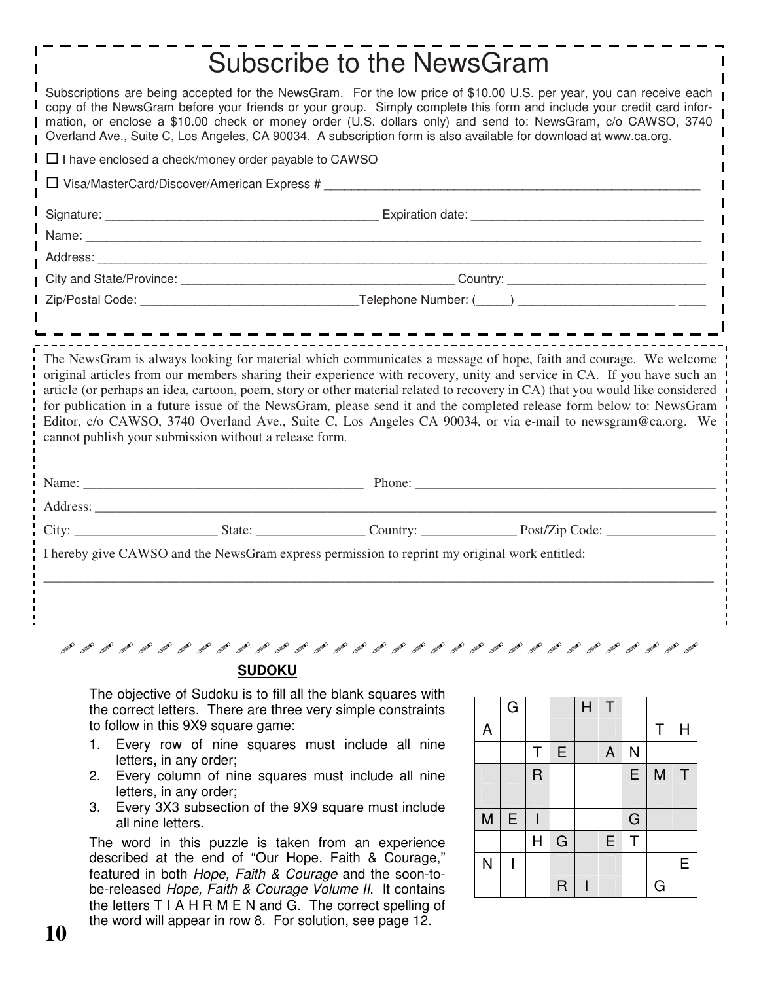|                                                                                                    | <b>Subscribe to the NewsGram</b>                                                                                                                                                                                                                                                                                                                                                                                                                                                 |                                                                                                                               |
|----------------------------------------------------------------------------------------------------|----------------------------------------------------------------------------------------------------------------------------------------------------------------------------------------------------------------------------------------------------------------------------------------------------------------------------------------------------------------------------------------------------------------------------------------------------------------------------------|-------------------------------------------------------------------------------------------------------------------------------|
|                                                                                                    | Subscriptions are being accepted for the NewsGram. For the low price of \$10.00 U.S. per year, you can receive each<br>copy of the NewsGram before your friends or your group. Simply complete this form and include your credit card infor-<br>mation, or enclose a \$10.00 check or money order (U.S. dollars only) and send to: NewsGram, c/o CAWSO, 3740<br>Overland Ave., Suite C, Los Angeles, CA 90034. A subscription form is also available for download at www.ca.org. |                                                                                                                               |
| $\Box$ I have enclosed a check/money order payable to CAWSO                                        |                                                                                                                                                                                                                                                                                                                                                                                                                                                                                  |                                                                                                                               |
|                                                                                                    |                                                                                                                                                                                                                                                                                                                                                                                                                                                                                  |                                                                                                                               |
|                                                                                                    |                                                                                                                                                                                                                                                                                                                                                                                                                                                                                  |                                                                                                                               |
|                                                                                                    |                                                                                                                                                                                                                                                                                                                                                                                                                                                                                  |                                                                                                                               |
|                                                                                                    |                                                                                                                                                                                                                                                                                                                                                                                                                                                                                  |                                                                                                                               |
|                                                                                                    |                                                                                                                                                                                                                                                                                                                                                                                                                                                                                  |                                                                                                                               |
|                                                                                                    |                                                                                                                                                                                                                                                                                                                                                                                                                                                                                  |                                                                                                                               |
|                                                                                                    | ----------------------                                                                                                                                                                                                                                                                                                                                                                                                                                                           |                                                                                                                               |
|                                                                                                    |                                                                                                                                                                                                                                                                                                                                                                                                                                                                                  | article (or perhaps an idea, cartoon, poem, story or other material related to recovery in CA) that you would like considered |
| cannot publish your submission without a release form.                                             | for publication in a future issue of the NewsGram, please send it and the completed release form below to: NewsGram<br>Editor, c/o CAWSO, 3740 Overland Ave., Suite C, Los Angeles CA 90034, or via e-mail to newsgram@ca.org. We                                                                                                                                                                                                                                                |                                                                                                                               |
|                                                                                                    |                                                                                                                                                                                                                                                                                                                                                                                                                                                                                  |                                                                                                                               |
|                                                                                                    |                                                                                                                                                                                                                                                                                                                                                                                                                                                                                  |                                                                                                                               |
|                                                                                                    |                                                                                                                                                                                                                                                                                                                                                                                                                                                                                  |                                                                                                                               |
|                                                                                                    | I hereby give CAWSO and the NewsGram express permission to reprint my original work entitled:                                                                                                                                                                                                                                                                                                                                                                                    |                                                                                                                               |
|                                                                                                    |                                                                                                                                                                                                                                                                                                                                                                                                                                                                                  |                                                                                                                               |
|                                                                                                    |                                                                                                                                                                                                                                                                                                                                                                                                                                                                                  |                                                                                                                               |
|                                                                                                    |                                                                                                                                                                                                                                                                                                                                                                                                                                                                                  |                                                                                                                               |
| <b>SUDOKU</b>                                                                                      |                                                                                                                                                                                                                                                                                                                                                                                                                                                                                  |                                                                                                                               |
| The objective of Sudoku is to fill all the blank squares with                                      |                                                                                                                                                                                                                                                                                                                                                                                                                                                                                  |                                                                                                                               |
| the correct letters. There are three very simple constraints<br>to follow in this 9X9 square game: | $\top$<br>G<br>H<br>Τ<br>H<br>A                                                                                                                                                                                                                                                                                                                                                                                                                                                  |                                                                                                                               |

- letters, in any order; 2. Every column of nine squares must include all nine
- letters, in any order; 3. Every 3X3 subsection of the 9X9 square must include all nine letters.

The word in this puzzle is taken from an experience described at the end of "Our Hope, Faith & Courage," featured in both *Hope, Faith & Courage* and the soon-tobe-released *Hope, Faith & Courage Volume II*. It contains the letters T I A H R M E N and G. The correct spelling of the word will appear in row 8. For solution, see page 12.

|   | Q |             |                | H | H |           |   |   |
|---|---|-------------|----------------|---|---|-----------|---|---|
| A |   |             |                |   |   |           | T | Η |
|   |   | Τ           | E              |   | A | N         |   |   |
|   |   | $\mathsf R$ |                |   |   | E         | M | Τ |
|   |   |             |                |   |   |           |   |   |
| M | Ε |             |                |   |   | ${\bf G}$ |   |   |
|   |   | H           | G              |   | E | Τ         |   |   |
| N |   |             |                |   |   |           |   | E |
|   |   |             | $\overline{R}$ |   |   |           | G |   |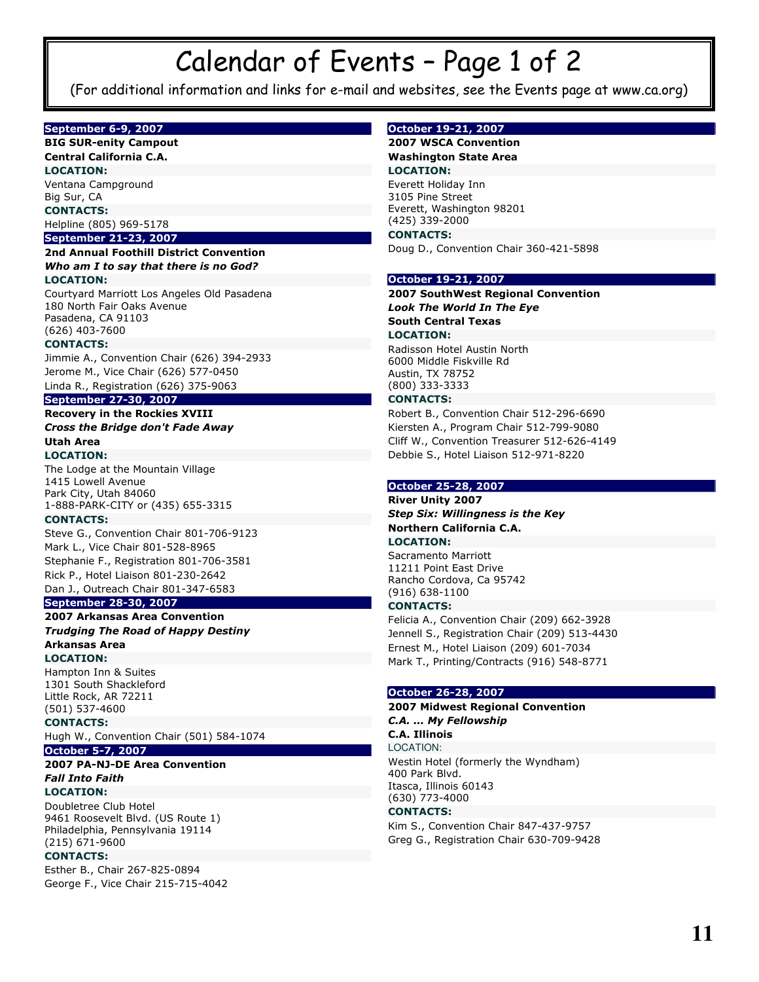## Calendar of Events - Page 1 of 2

(For additional information and links for e-mail and websites, see the Events page at www.ca.org)

#### **September 6-9, 2007**

#### **BIG SUR-enity Campout Central California C.A.**

**LOCATION:** Ventana Campground Big Sur, CA **CONTACTS:** 

#### Helpline (805) 969-5178 **September 21-23, 2007**

#### 2nd Annual Foothill District Convention

#### Who am I to say that there is no God? **LOCATION:**

Courtyard Marriott Los Angeles Old Pasadena 180 North Fair Oaks Avenue Pasadena, CA 91103  $(626)$  403-7600

#### **CONTACTS:**

Jimmie A., Convention Chair (626) 394-2933 Jerome M., Vice Chair (626) 577-0450 Linda R., Registration (626) 375-9063

#### **September 27-30, 2007**

#### **Recovery in the Rockies XVIII Cross the Bridge don't Fade Away Utah Area**

**LOCATION:** 

The Lodge at the Mountain Village 1415 Lowell Avenue Park City, Utah 84060 1-888-PARK-CITY or (435) 655-3315

#### **CONTACTS:**

Steve G., Convention Chair 801-706-9123 Mark L., Vice Chair 801-528-8965 Stephanie F., Registration 801-706-3581 Rick P., Hotel Liaison 801-230-2642

#### Dan J., Outreach Chair 801-347-6583 **September 28-30, 2007**

#### 2007 Arkansas Area Convention **Trudging The Road of Happy Destiny Arkansas Area**

**LOCATION:** 

Hampton Inn & Suites 1301 South Shackleford Little Rock, AR 72211  $(501) 537 - 4600$ 

#### **CONTACTS:**

Hugh W., Convention Chair (501) 584-1074

#### **October 5-7, 2007**

2007 PA-NJ-DE Area Convention **Fall Into Faith LOCATION:** 

Doubletree Club Hotel 9461 Roosevelt Blvd. (US Route 1) Philadelphia, Pennsylvania 19114  $(215)$  671-9600

#### **CONTACTS:**

Esther B., Chair 267-825-0894 George F., Vice Chair 215-715-4042

#### October 19-21, 2007

#### 2007 WSCA Convention **Washington State Area LOCATION:**

Everett Holiday Inn 3105 Pine Street Everett, Washington 98201  $(425)$  339-2000

#### **CONTACTS:**

Doug D., Convention Chair 360-421-5898

#### October 19-21, 2007

2007 SouthWest Regional Convention **Look The World In The Eye South Central Texas LOCATION:** 

Radisson Hotel Austin North 6000 Middle Fiskville Rd Austin, TX 78752 (800) 333-3333

#### **CONTACTS:**

Robert B., Convention Chair 512-296-6690 Kiersten A., Program Chair 512-799-9080 Cliff W., Convention Treasurer 512-626-4149 Debbie S., Hotel Liaison 512-971-8220

#### October 25-28, 2007

**River Unity 2007 Step Six: Willingness is the Kev Northern California C.A. LOCATION:** 

Sacramento Marriott 11211 Point East Drive Rancho Cordova, Ca 95742  $(916) 638 - 1100$ 

#### **CONTACTS:**

Felicia A., Convention Chair (209) 662-3928 Jennell S., Registration Chair (209) 513-4430 Ernest M., Hotel Liaison (209) 601-7034 Mark T., Printing/Contracts (916) 548-8771

#### October 26-28, 2007

#### 2007 Midwest Regional Convention C.A. ... My Fellowship

**C.A. Illinois** 

**LOCATION:** Westin Hotel (formerly the Wyndham) 400 Park Blvd. Itasca, Illinois 60143 (630) 773-4000

#### **CONTACTS:**

Kim S., Convention Chair 847-437-9757 Greg G., Registration Chair 630-709-9428